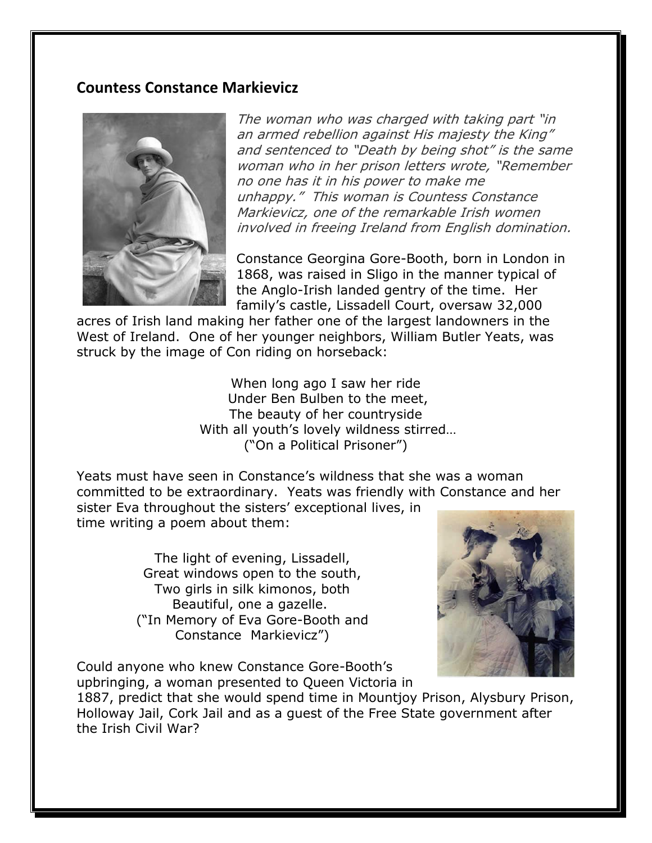## **Countess Constance Markievicz**



The woman who was charged with taking part "in an armed rebellion against His majesty the King" and sentenced to "Death by being shot" is the same woman who in her prison letters wrote, "Remember no one has it in his power to make me unhappy." This woman is Countess Constance Markievicz, one of the remarkable Irish women involved in freeing Ireland from English domination.

Constance Georgina Gore-Booth, born in London in 1868, was raised in Sligo in the manner typical of the Anglo-Irish landed gentry of the time. Her family's castle, Lissadell Court, oversaw 32,000

acres of Irish land making her father one of the largest landowners in the West of Ireland. One of her younger neighbors, William Butler Yeats, was struck by the image of Con riding on horseback:

> When long ago I saw her ride Under Ben Bulben to the meet, The beauty of her countryside With all youth's lovely wildness stirred… ("On a Political Prisoner")

Yeats must have seen in Constance's wildness that she was a woman committed to be extraordinary. Yeats was friendly with Constance and her sister Eva throughout the sisters' exceptional lives, in

time writing a poem about them:

The light of evening, Lissadell, Great windows open to the south, Two girls in silk kimonos, both Beautiful, one a gazelle. ("In Memory of Eva Gore-Booth and Constance Markievicz")



Could anyone who knew Constance Gore-Booth's upbringing, a woman presented to Queen Victoria in

1887, predict that she would spend time in Mountjoy Prison, Alysbury Prison, Holloway Jail, Cork Jail and as a guest of the Free State government after the Irish Civil War?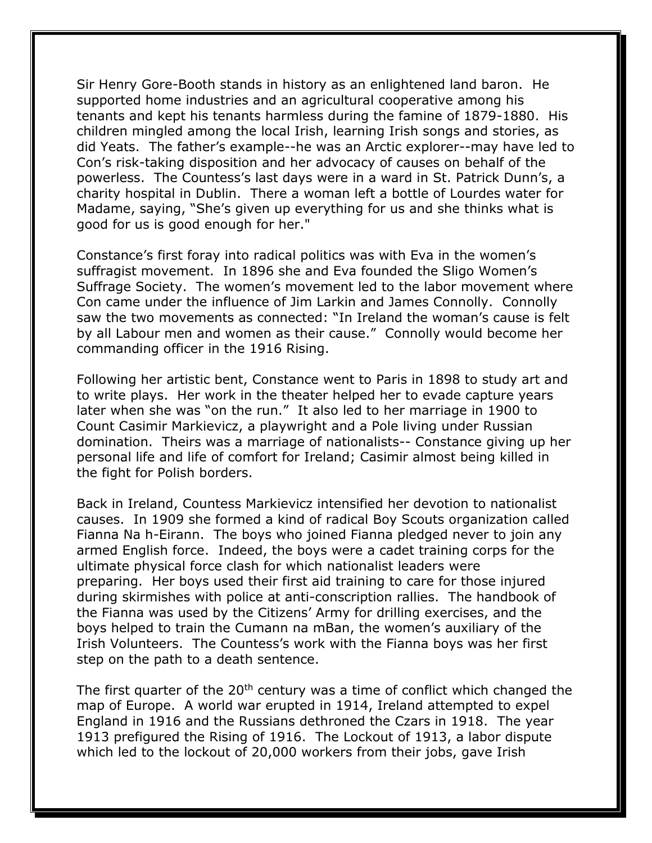Sir Henry Gore-Booth stands in history as an enlightened land baron. He supported home industries and an agricultural cooperative among his tenants and kept his tenants harmless during the famine of 1879-1880. His children mingled among the local Irish, learning Irish songs and stories, as did Yeats. The father's example--he was an Arctic explorer--may have led to Con's risk-taking disposition and her advocacy of causes on behalf of the powerless. The Countess's last days were in a ward in St. Patrick Dunn's, a charity hospital in Dublin. There a woman left a bottle of Lourdes water for Madame, saying, "She's given up everything for us and she thinks what is good for us is good enough for her."

Constance's first foray into radical politics was with Eva in the women's suffragist movement. In 1896 she and Eva founded the Sligo Women's Suffrage Society. The women's movement led to the labor movement where Con came under the influence of Jim Larkin and James Connolly. Connolly saw the two movements as connected: "In Ireland the woman's cause is felt by all Labour men and women as their cause." Connolly would become her commanding officer in the 1916 Rising.

Following her artistic bent, Constance went to Paris in 1898 to study art and to write plays. Her work in the theater helped her to evade capture years later when she was "on the run." It also led to her marriage in 1900 to Count Casimir Markievicz, a playwright and a Pole living under Russian domination. Theirs was a marriage of nationalists-- Constance giving up her personal life and life of comfort for Ireland; Casimir almost being killed in the fight for Polish borders.

Back in Ireland, Countess Markievicz intensified her devotion to nationalist causes. In 1909 she formed a kind of radical Boy Scouts organization called Fianna Na h-Eirann. The boys who joined Fianna pledged never to join any armed English force. Indeed, the boys were a cadet training corps for the ultimate physical force clash for which nationalist leaders were preparing. Her boys used their first aid training to care for those injured during skirmishes with police at anti-conscription rallies. The handbook of the Fianna was used by the Citizens' Army for drilling exercises, and the boys helped to train the Cumann na mBan, the women's auxiliary of the Irish Volunteers. The Countess's work with the Fianna boys was her first step on the path to a death sentence.

The first quarter of the  $20<sup>th</sup>$  century was a time of conflict which changed the map of Europe. A world war erupted in 1914, Ireland attempted to expel England in 1916 and the Russians dethroned the Czars in 1918. The year 1913 prefigured the Rising of 1916. The Lockout of 1913, a labor dispute which led to the lockout of 20,000 workers from their jobs, gave Irish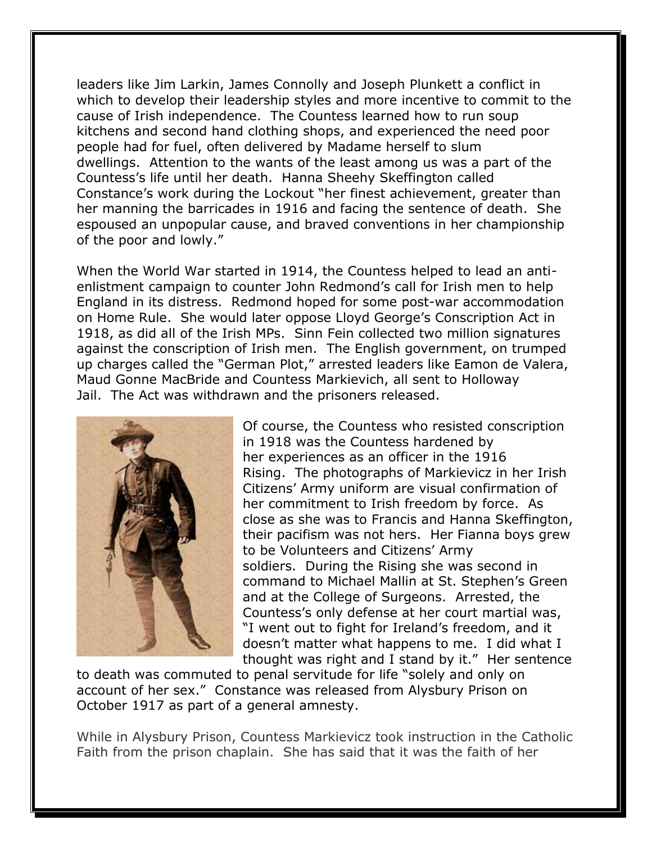leaders like Jim Larkin, James Connolly and Joseph Plunkett a conflict in which to develop their leadership styles and more incentive to commit to the cause of Irish independence. The Countess learned how to run soup kitchens and second hand clothing shops, and experienced the need poor people had for fuel, often delivered by Madame herself to slum dwellings. Attention to the wants of the least among us was a part of the Countess's life until her death. Hanna Sheehy Skeffington called Constance's work during the Lockout "her finest achievement, greater than her manning the barricades in 1916 and facing the sentence of death. She espoused an unpopular cause, and braved conventions in her championship of the poor and lowly."

When the World War started in 1914, the Countess helped to lead an antienlistment campaign to counter John Redmond's call for Irish men to help England in its distress. Redmond hoped for some post-war accommodation on Home Rule. She would later oppose Lloyd George's Conscription Act in 1918, as did all of the Irish MPs. Sinn Fein collected two million signatures against the conscription of Irish men. The English government, on trumped up charges called the "German Plot," arrested leaders like Eamon de Valera, Maud Gonne MacBride and Countess Markievich, all sent to Holloway Jail. The Act was withdrawn and the prisoners released.



Of course, the Countess who resisted conscription in 1918 was the Countess hardened by her experiences as an officer in the 1916 Rising. The photographs of Markievicz in her Irish Citizens' Army uniform are visual confirmation of her commitment to Irish freedom by force. As close as she was to Francis and Hanna Skeffington, their pacifism was not hers. Her Fianna boys grew to be Volunteers and Citizens' Army soldiers. During the Rising she was second in command to Michael Mallin at St. Stephen's Green and at the College of Surgeons. Arrested, the Countess's only defense at her court martial was, "I went out to fight for Ireland's freedom, and it doesn't matter what happens to me. I did what I thought was right and I stand by it." Her sentence

to death was commuted to penal servitude for life "solely and only on account of her sex." Constance was released from Alysbury Prison on October 1917 as part of a general amnesty.

While in Alysbury Prison, Countess Markievicz took instruction in the Catholic Faith from the prison chaplain. She has said that it was the faith of her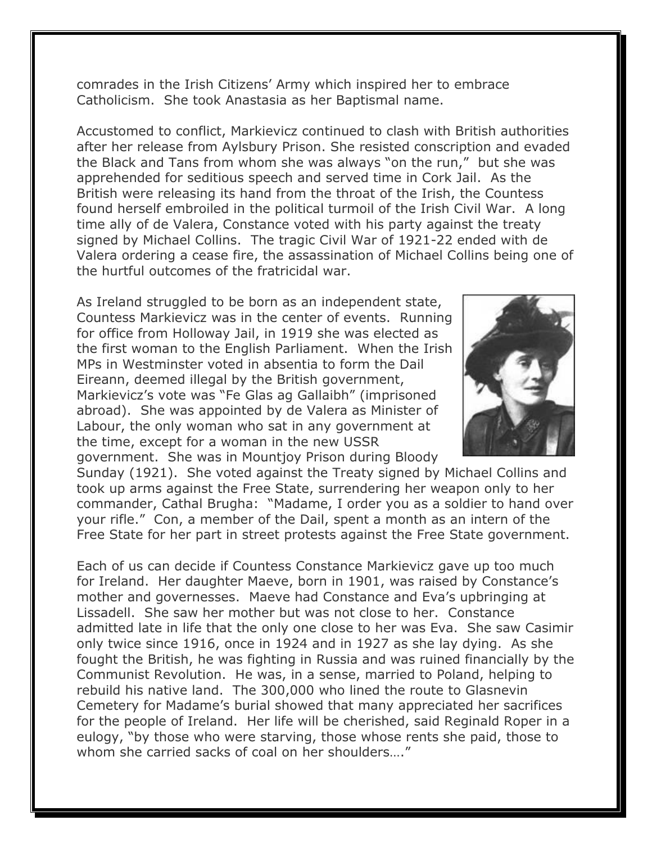comrades in the Irish Citizens' Army which inspired her to embrace Catholicism. She took Anastasia as her Baptismal name.

Accustomed to conflict, Markievicz continued to clash with British authorities after her release from Aylsbury Prison. She resisted conscription and evaded the Black and Tans from whom she was always "on the run," but she was apprehended for seditious speech and served time in Cork Jail. As the British were releasing its hand from the throat of the Irish, the Countess found herself embroiled in the political turmoil of the Irish Civil War. A long time ally of de Valera, Constance voted with his party against the treaty signed by Michael Collins. The tragic Civil War of 1921-22 ended with de Valera ordering a cease fire, the assassination of Michael Collins being one of the hurtful outcomes of the fratricidal war.

As Ireland struggled to be born as an independent state, Countess Markievicz was in the center of events. Running for office from Holloway Jail, in 1919 she was elected as the first woman to the English Parliament. When the Irish MPs in Westminster voted in absentia to form the Dail Eireann, deemed illegal by the British government, Markievicz's vote was "Fe Glas ag Gallaibh" (imprisoned abroad). She was appointed by de Valera as Minister of Labour, the only woman who sat in any government at the time, except for a woman in the new USSR government. She was in Mountjoy Prison during Bloody



Sunday (1921). She voted against the Treaty signed by Michael Collins and took up arms against the Free State, surrendering her weapon only to her commander, Cathal Brugha: "Madame, I order you as a soldier to hand over your rifle." Con, a member of the Dail, spent a month as an intern of the Free State for her part in street protests against the Free State government.

Each of us can decide if Countess Constance Markievicz gave up too much for Ireland. Her daughter Maeve, born in 1901, was raised by Constance's mother and governesses. Maeve had Constance and Eva's upbringing at Lissadell. She saw her mother but was not close to her. Constance admitted late in life that the only one close to her was Eva. She saw Casimir only twice since 1916, once in 1924 and in 1927 as she lay dying. As she fought the British, he was fighting in Russia and was ruined financially by the Communist Revolution. He was, in a sense, married to Poland, helping to rebuild his native land. The 300,000 who lined the route to Glasnevin Cemetery for Madame's burial showed that many appreciated her sacrifices for the people of Ireland. Her life will be cherished, said Reginald Roper in a eulogy, "by those who were starving, those whose rents she paid, those to whom she carried sacks of coal on her shoulders…."